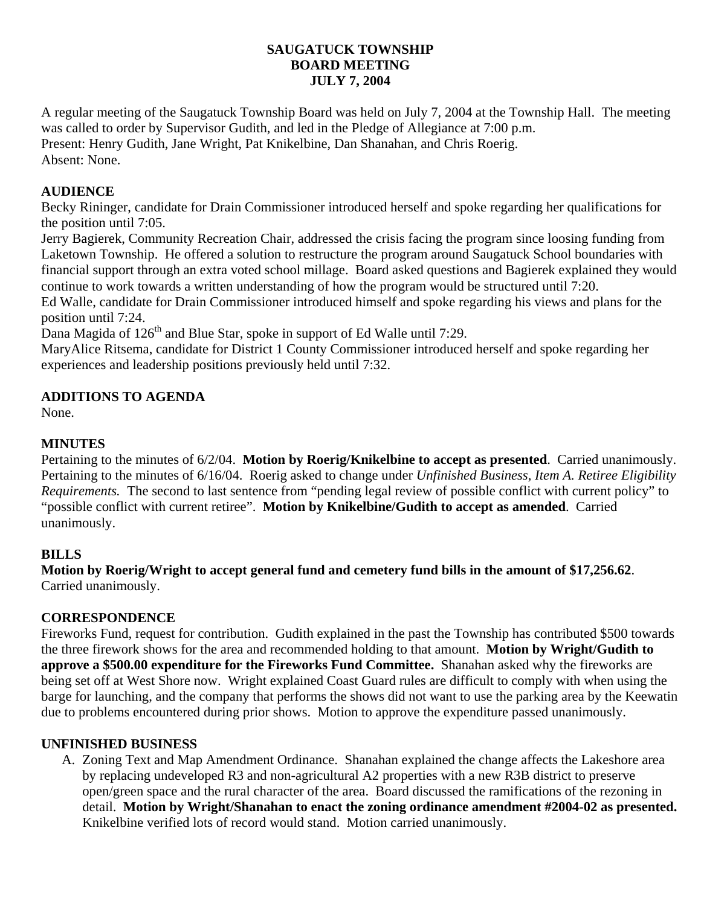## **SAUGATUCK TOWNSHIP BOARD MEETING JULY 7, 2004**

A regular meeting of the Saugatuck Township Board was held on July 7, 2004 at the Township Hall. The meeting was called to order by Supervisor Gudith, and led in the Pledge of Allegiance at 7:00 p.m. Present: Henry Gudith, Jane Wright, Pat Knikelbine, Dan Shanahan, and Chris Roerig. Absent: None.

# **AUDIENCE**

Becky Rininger, candidate for Drain Commissioner introduced herself and spoke regarding her qualifications for the position until 7:05.

Jerry Bagierek, Community Recreation Chair, addressed the crisis facing the program since loosing funding from Laketown Township. He offered a solution to restructure the program around Saugatuck School boundaries with financial support through an extra voted school millage. Board asked questions and Bagierek explained they would continue to work towards a written understanding of how the program would be structured until 7:20.

Ed Walle, candidate for Drain Commissioner introduced himself and spoke regarding his views and plans for the position until 7:24.

Dana Magida of  $126<sup>th</sup>$  and Blue Star, spoke in support of Ed Walle until 7:29.

MaryAlice Ritsema, candidate for District 1 County Commissioner introduced herself and spoke regarding her experiences and leadership positions previously held until 7:32.

# **ADDITIONS TO AGENDA**

None.

# **MINUTES**

Pertaining to the minutes of 6/2/04. **Motion by Roerig/Knikelbine to accept as presented**. Carried unanimously. Pertaining to the minutes of 6/16/04. Roerig asked to change under *Unfinished Business, Item A. Retiree Eligibility Requirements.* The second to last sentence from "pending legal review of possible conflict with current policy" to "possible conflict with current retiree". **Motion by Knikelbine/Gudith to accept as amended**. Carried unanimously.

## **BILLS**

**Motion by Roerig/Wright to accept general fund and cemetery fund bills in the amount of \$17,256.62**. Carried unanimously.

## **CORRESPONDENCE**

Fireworks Fund, request for contribution. Gudith explained in the past the Township has contributed \$500 towards the three firework shows for the area and recommended holding to that amount. **Motion by Wright/Gudith to approve a \$500.00 expenditure for the Fireworks Fund Committee.** Shanahan asked why the fireworks are being set off at West Shore now. Wright explained Coast Guard rules are difficult to comply with when using the barge for launching, and the company that performs the shows did not want to use the parking area by the Keewatin due to problems encountered during prior shows. Motion to approve the expenditure passed unanimously.

## **UNFINISHED BUSINESS**

A. Zoning Text and Map Amendment Ordinance. Shanahan explained the change affects the Lakeshore area by replacing undeveloped R3 and non-agricultural A2 properties with a new R3B district to preserve open/green space and the rural character of the area. Board discussed the ramifications of the rezoning in detail. **Motion by Wright/Shanahan to enact the zoning ordinance amendment #2004-02 as presented.**  Knikelbine verified lots of record would stand. Motion carried unanimously.